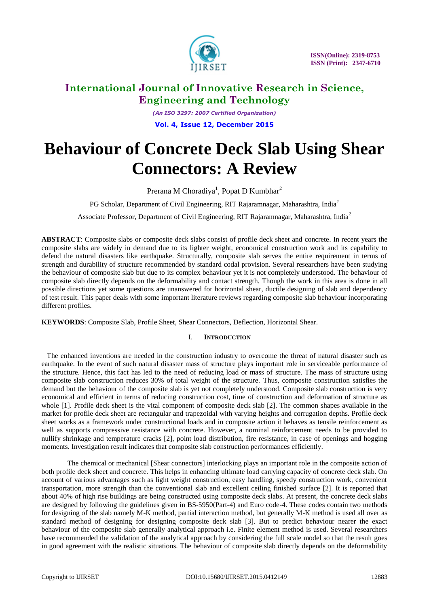

*(An ISO 3297: 2007 Certified Organization)* **Vol. 4, Issue 12, December 2015**

# **Behaviour of Concrete Deck Slab Using Shear Connectors: A Review**

Prerana M Choradiya<sup>1</sup>, Popat D Kumbhar<sup>2</sup>

PG Scholar, Department of Civil Engineering, RIT Rajaramnagar, Maharashtra, India*<sup>1</sup>*

Associate Professor, Department of Civil Engineering, RIT Rajaramnagar, Maharashtra, India<sup>2</sup>

**ABSTRACT**: Composite slabs or composite deck slabs consist of profile deck sheet and concrete. In recent years the composite slabs are widely in demand due to its lighter weight, economical construction work and its capability to defend the natural disasters like earthquake. Structurally, composite slab serves the entire requirement in terms of strength and durability of structure recommended by standard codal provision. Several researchers have been studying the behaviour of composite slab but due to its complex behaviour yet it is not completely understood. The behaviour of composite slab directly depends on the deformability and contact strength. Though the work in this area is done in all possible directions yet some questions are unanswered for horizontal shear, ductile designing of slab and dependency of test result. This paper deals with some important literature reviews regarding composite slab behaviour incorporating different profiles.

**KEYWORDS**: Composite Slab, Profile Sheet, Shear Connectors, Deflection, Horizontal Shear.

#### I. **INTRODUCTION**

 The enhanced inventions are needed in the construction industry to overcome the threat of natural disaster such as earthquake. In the event of such natural disaster mass of structure plays important role in serviceable performance of the structure. Hence, this fact has led to the need of reducing load or mass of structure. The mass of structure using composite slab construction reduces 30% of total weight of the structure. Thus, composite construction satisfies the demand but the behaviour of the composite slab is yet not completely understood. Composite slab construction is very economical and efficient in terms of reducing construction cost, time of construction and deformation of structure as whole [1]. Profile deck sheet is the vital component of composite deck slab [2]. The common shapes available in the market for profile deck sheet are rectangular and trapezoidal with varying heights and corrugation depths. Profile deck sheet works as a framework under constructional loads and in composite action it behaves as tensile reinforcement as well as supports compressive resistance with concrete. However, a nominal reinforcement needs to be provided to nullify shrinkage and temperature cracks [2], point load distribution, fire resistance, in case of openings and hogging moments. Investigation result indicates that composite slab construction performances efficiently.

The chemical or mechanical [Shear connectors] interlocking plays an important role in the composite action of both profile deck sheet and concrete. This helps in enhancing ultimate load carrying capacity of concrete deck slab. On account of various advantages such as light weight construction, easy handling, speedy construction work, convenient transportation, more strength than the conventional slab and excellent ceiling finished surface [2]. It is reported that about 40% of high rise buildings are being constructed using composite deck slabs. At present, the concrete deck slabs are designed by following the guidelines given in BS-5950(Part-4) and Euro code-4. These codes contain two methods for designing of the slab namely M-K method, partial interaction method, but generally M-K method is used all over as standard method of designing for designing composite deck slab [3]. But to predict behaviour nearer the exact behaviour of the composite slab generally analytical approach i.e. Finite element method is used. Several researchers have recommended the validation of the analytical approach by considering the full scale model so that the result goes in good agreement with the realistic situations. The behaviour of composite slab directly depends on the deformability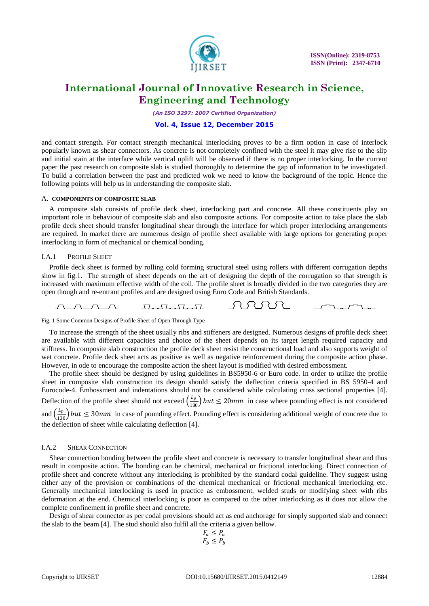

*(An ISO 3297: 2007 Certified Organization)*

#### **Vol. 4, Issue 12, December 2015**

and contact strength. For contact strength mechanical interlocking proves to be a firm option in case of interlock popularly known as shear connectors. As concrete is not completely confined with the steel it may give rise to the slip and initial stain at the interface while vertical uplift will be observed if there is no proper interlocking. In the current paper the past research on composite slab is studied thoroughly to determine the gap of information to be investigated. To build a correlation between the past and predicted wok we need to know the background of the topic. Hence the following points will help us in understanding the composite slab.

#### A. **COMPONENTS OF COMPOSITE SLAB**

A composite slab consists of profile deck sheet, interlocking part and concrete. All these constituents play an important role in behaviour of composite slab and also composite actions. For composite action to take place the slab profile deck sheet should transfer longitudinal shear through the interface for which proper interlocking arrangements are required. In market there are numerous design of profile sheet available with large options for generating proper interlocking in form of mechanical or chemical bonding.

#### I.A.1 PROFILE SHEET

Profile deck sheet is formed by rolling cold forming structural steel using rollers with different corrugation depths show in fig.1. The strength of sheet depends on the art of designing the depth of the corrugation so that strength is increased with maximum effective width of the coil. The profile sheet is broadly divided in the two categories they are open though and re-entrant profiles and are designed using Euro Code and British Standards.



Fig. 1 Some Common Designs of Profile Sheet of Open Through Type

To increase the strength of the sheet usually ribs and stiffeners are designed. Numerous designs of profile deck sheet are available with different capacities and choice of the sheet depends on its target length required capacity and stiffness. In composite slab construction the profile deck sheet resist the constructional load and also supports weight of wet concrete. Profile deck sheet acts as positive as well as negative reinforcement during the composite action phase. However, in ode to encourage the composite action the sheet layout is modified with desired embossment.

The profile sheet should be designed by using guidelines in BS5950-6 or Euro code. In order to utilize the profile sheet in composite slab construction its design should satisfy the deflection criteria specified in BS 5950-4 and Eurocode-4. Embossment and indentations should not be considered while calculating cross sectional properties [4]. Deflection of the profile sheet should not exceed  $\left(\frac{L_p}{180}\right) but \leq 20mm$  in case where pounding effect is not considered and  $\left(\frac{L_p}{130}\right)$  but  $\leq 30$ mm in case of pounding effect. Pounding effect is considering additional weight of concrete due to the deflection of sheet while calculating deflection [4].

#### I.A.2 SHEAR CONNECTION

Shear connection bonding between the profile sheet and concrete is necessary to transfer longitudinal shear and thus result in composite action. The bonding can be chemical, mechanical or frictional interlocking. Direct connection of profile sheet and concrete without any interlocking is prohibited by the standard codal guideline. They suggest using either any of the provision or combinations of the chemical mechanical or frictional mechanical interlocking etc. Generally mechanical interlocking is used in practice as embossment, welded studs or modifying sheet with ribs deformation at the end. Chemical interlocking is poor as compared to the other interlocking as it does not allow the complete confinement in profile sheet and concrete.

Design of shear connector as per codal provisions should act as end anchorage for simply supported slab and connect the slab to the beam [4]. The stud should also fulfil all the criteria a given bellow.

$$
\begin{array}{l} F_a \leq P_a \\ F_b \leq P_b \end{array}
$$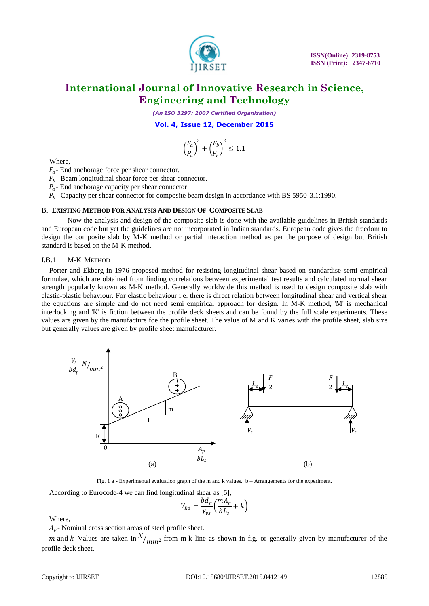

*(An ISO 3297: 2007 Certified Organization)*

**Vol. 4, Issue 12, December 2015**

$$
\left(\frac{F_a}{P_a}\right)^2 + \left(\frac{F_b}{P_b}\right)^2 \le 1.1
$$

Where,

 $F_a$ - End anchorage force per shear connector.

 $F_b$ - Beam longitudinal shear force per shear connector.

 $P_a$ - End anchorage capacity per shear connector

 $P_b$ - Capacity per shear connector for composite beam design in accordance with BS 5950-3.1:1990.

#### B. **EXISTING METHOD FOR ANALYSIS AND DESIGN OF COMPOSITE SLAB**

Now the analysis and design of the composite slab is done with the available guidelines in British standards and European code but yet the guidelines are not incorporated in Indian standards. European code gives the freedom to design the composite slab by M-K method or partial interaction method as per the purpose of design but British standard is based on the M-K method.

#### I.B.1 M-K METHOD

Porter and Ekberg in 1976 proposed method for resisting longitudinal shear based on standardise semi empirical formulae, which are obtained from finding correlations between experimental test results and calculated normal shear strength popularly known as M-K method. Generally worldwide this method is used to design composite slab with elastic-plastic behaviour. For elastic behaviour i.e. there is direct relation between longitudinal shear and vertical shear the equations are simple and do not need semi empirical approach for design. In M-K method, 'M' is mechanical interlocking and 'K' is fiction between the profile deck sheets and can be found by the full scale experiments. These values are given by the manufacture foe the profile sheet. The value of M and K varies with the profile sheet, slab size but generally values are given by profile sheet manufacturer.



Fig. 1 a - Experimental evaluation graph of the m and k values. b – Arrangements for the experiment.

According to Eurocode-4 we can find longitudinal shear as [5],

$$
V_{Rd} = \frac{bd_p}{\gamma_{vs}} \left( \frac{mA_p}{bL_s} + k \right)
$$

Where,

 $A_p$ - Nominal cross section areas of steel profile sheet.

m and k Values are taken in  $N_{mm2}$  from m-k line as shown in fig. or generally given by manufacturer of the profile deck sheet.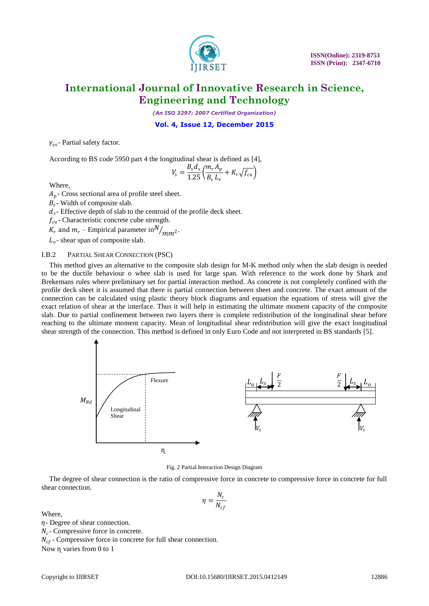

*(An ISO 3297: 2007 Certified Organization)*

**Vol. 4, Issue 12, December 2015**

 $\gamma_{vs}$ - Partial safety factor.

According to BS code 5950 part 4 the longitudinal shear is defined as [4],

$$
V_s = \frac{B_s d_s}{1.25} \left( \frac{m_r A_p}{B_s L_v} + K_r \sqrt{f_{cu}} \right)
$$

Where,

 $A_p$ - Cross sectional area of profile steel sheet.

 $B_s$ - Width of composite slab.

 $d_s$ - Effective depth of slab to the centroid of the profile deck sheet.

 $f_{cu}$  - Characteristic concrete cube strength.

 $K_r$  and  $m_r$  – Empirical parameter in  $N/_{mm^2}$ .

 $L_v$ - shear span of composite slab.

#### I.B.2 PARTIAL SHEAR CONNECTION (PSC)

This method gives an alternative to the composite slab design for M-K method only when the slab design is needed to be the ductile behaviour o whee slab is used for large span. With reference to the work done by Shark and Brekemans rules where preliminary set for partial interaction method. As concrete is not completely confined with the profile deck sheet it is assumed that there is partial connection between sheet and concrete. The exact amount of the connection can be calculated using plastic theory block diagrams and equation the equations of stress will give the exact relation of shear at the interface. Thus it will help in estimating the ultimate moment capacity of the composite slab. Due to partial confinement between two layers there is complete redistribution of the longitudinal shear before reaching to the ultimate moment capacity. Mean of longitudinal shear redistribution will give the exact longitudinal shear strength of the connection. This method is defined in only Euro Code and not interpreted in BS standards [5].



Fig. 2 Partial Interaction Design Diagram

The degree of shear connection is the ratio of compressive force in concrete to compressive force in concrete for full shear connection.

$$
\eta = \frac{N_c}{N_{cf}}
$$

Where,

 $\eta$ - Degree of shear connection.

 $N_c$ - Compressive force in concrete.

 $N_{cf}$ - Compressive force in concrete for full shear connection.

Now ɳ varies from 0 to 1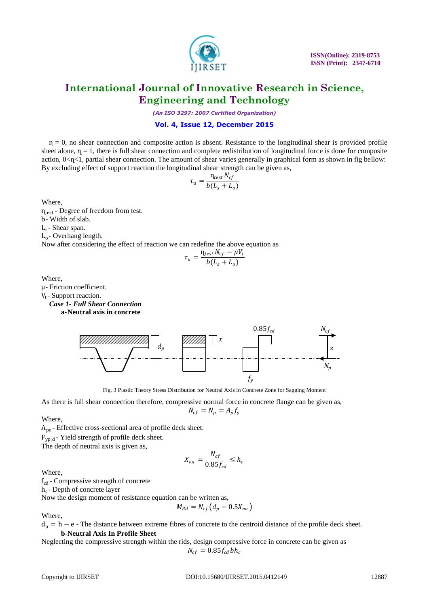

*(An ISO 3297: 2007 Certified Organization)*

#### **Vol. 4, Issue 12, December 2015**

 $η = 0$ , no shear connection and composite action is absent. Resistance to the longitudinal shear is provided profile sheet alone,  $η = 1$ , there is full shear connection and complete redistribution of longitudinal force is done for composite action,  $0 \lt \eta \lt 1$ , partial shear connection. The amount of shear varies generally in graphical form as shown in fig bellow: By excluding effect of support reaction the longitudinal shear strength can be given as,

$$
\tau_u = \frac{\eta_{test} N_{cf}}{b(L_s + L_o)}
$$

Where,

 $\eta_{test}$  - Degree of freedom from test. b- Width of slab. Ls - Shear span. Lo - Overhang length. Now after considering the effect of reaction we can redefine the above equation as

$$
\tau_u = \frac{\eta_{test} N_{cf} - \mu V_t}{b(L_s + L_o)}
$$

Where,

μ- Friction coefficient.

V<sub>t</sub>-Support reaction.

*Case 1- Full Shear Connection* 

**a-Neutral axis in concrete** 



Fig. 3 Plastic Theory Stress Distribution for Neutral Axis in Concrete Zone for Sagging Moment

As there is full shear connection therefore, compressive normal force in concrete flange can be given as,  $N_{cf} = N_p = A_p f_v$ 

Where,

Ape - Effective cross-sectional area of profile deck sheet.  $F_{yp,d}$ - Yield strength of profile deck sheet.

The depth of neutral axis is given as,

$$
X_{na} = \frac{N_{cf}}{0.85 f_{cd}} \le h_c
$$

Where,

 $f_{\rm cd}$  - Compressive strength of concrete

h<sub>c</sub>- Depth of concrete layer

Now the design moment of resistance equation can be written as,

$$
M_{Rd} = N_{cf} \left( d_p - 0.5 X_{na} \right)
$$

Where,

 $d_p = h - e$  - The distance between extreme fibres of concrete to the centroid distance of the profile deck sheet.

#### **b-Neutral Axis In Profile Sheet**

Neglecting the compressive strength within the rids, design compressive force in concrete can be given as  $N_{cf} = 0.85 f_{cd} bh_c$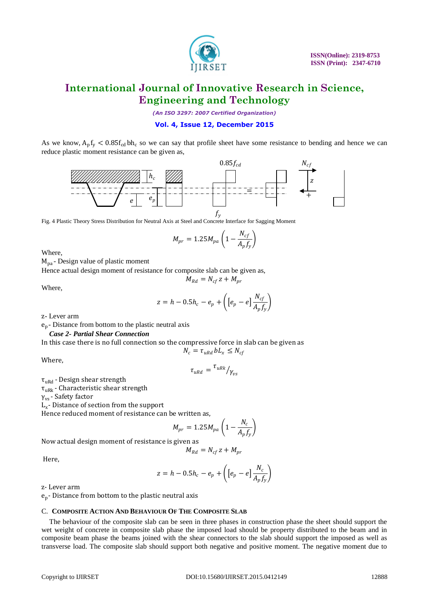

*(An ISO 3297: 2007 Certified Organization)*

#### **Vol. 4, Issue 12, December 2015**

As we know,  $A_p f_y < 0.85 f_{cd} bh_c$  so we can say that profile sheet have some resistance to bending and hence we can reduce plastic moment resistance can be given as,



Fig. 4 Plastic Theory Stress Distribution for Neutral Axis at Steel and Concrete Interface for Sagging Moment

$$
M_{pr} = 1.25 M_{pa} \left( 1 - \frac{N_{cf}}{A_p f_y} \right)
$$

Where,

 $M_{pa}$  - Design value of plastic moment

Hence actual design moment of resistance for composite slab can be given as,

Where,

$$
z = h - 0.5h_c - e_p + \left( \left[ e_p - e \right] \frac{N_{cf}}{A_p f_y} \right)
$$

 $M_{Rd} = N_{cf} z + M_{pr}$ 

z- Lever arm

ep - Distance from bottom to the plastic neutral axis

#### *Case 2- Partial Shear Connection*

In this case there is no full connection so the compressive force in slab can be given as  $N_c = \tau_{uRd} bL_r \leq N_{cf}$ 

Where,

$$
\tau_{uRd} = \frac{\tau_{uRk}}{\gamma_{vs}}
$$

 $\tau$ <sub>uRd</sub> - Design shear strength

 $\tau_{\text{uRk}}$  - Characteristic shear strength

γvs - Safety factor

Lx - Distance of section from the support

Hence reduced moment of resistance can be written as,

$$
M_{pr} = 1.25 M_{pa} \left( 1 - \frac{N_c}{A_p f_y} \right)
$$

Now actual design moment of resistance is given as

$$
M_{Rd} = N_{cf} z + M_{pr}
$$

Here,

$$
z = h - 0.5h_c - e_p + \left( \left[ e_p - e \right] \frac{N_c}{A_p f_y} \right)
$$

z- Lever arm

ep - Distance from bottom to the plastic neutral axis

#### C. **COMPOSITE ACTION AND BEHAVIOUR OF THE COMPOSITE SLAB**

The behaviour of the composite slab can be seen in three phases in construction phase the sheet should support the wet weight of concrete in composite slab phase the imposed load should be property distributed to the beam and in composite beam phase the beams joined with the shear connectors to the slab should support the imposed as well as transverse load. The composite slab should support both negative and positive moment. The negative moment due to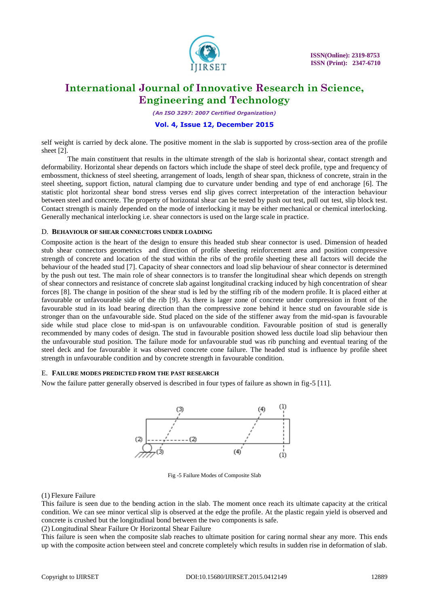

*(An ISO 3297: 2007 Certified Organization)*

#### **Vol. 4, Issue 12, December 2015**

self weight is carried by deck alone. The positive moment in the slab is supported by cross-section area of the profile sheet [2].

The main constituent that results in the ultimate strength of the slab is horizontal shear, contact strength and deformability. Horizontal shear depends on factors which include the shape of steel deck profile, type and frequency of embossment, thickness of steel sheeting, arrangement of loads, length of shear span, thickness of concrete, strain in the steel sheeting, support fiction, natural clamping due to curvature under bending and type of end anchorage [6]. The statistic plot horizontal shear bond stress verses end slip gives correct interpretation of the interaction behaviour between steel and concrete. The property of horizontal shear can be tested by push out test, pull out test, slip block test. Contact strength is mainly depended on the mode of interlocking it may be either mechanical or chemical interlocking. Generally mechanical interlocking i.e. shear connectors is used on the large scale in practice.

#### D. **BEHAVIOUR OF SHEAR CONNECTORS UNDER LOADING**

Composite action is the heart of the design to ensure this headed stub shear connector is used. Dimension of headed stub shear connectors geometrics and direction of profile sheeting reinforcement area and position compressive strength of concrete and location of the stud within the ribs of the profile sheeting these all factors will decide the behaviour of the headed stud [7]. Capacity of shear connectors and load slip behaviour of shear connector is determined by the push out test. The main role of shear connectors is to transfer the longitudinal shear which depends on strength of shear connectors and resistance of concrete slab against longitudinal cracking induced by high concentration of shear forces [8]. The change in position of the shear stud is led by the stiffing rib of the modern profile. It is placed either at favourable or unfavourable side of the rib [9]. As there is lager zone of concrete under compression in front of the favourable stud in its load bearing direction than the compressive zone behind it hence stud on favourable side is stronger than on the unfavourable side. Stud placed on the side of the stiffener away from the mid-span is favourable side while stud place close to mid-span is on unfavourable condition. Favourable position of stud is generally recommended by many codes of design. The stud in favourable position showed less ductile load slip behaviour then the unfavourable stud position. The failure mode for unfavourable stud was rib punching and eventual tearing of the steel deck and foe favourable it was observed concrete cone failure. The headed stud is influence by profile sheet strength in unfavourable condition and by concrete strength in favourable condition.

#### E. **FAILURE MODES PREDICTED FROM THE PAST RESEARCH**

Now the failure patter generally observed is described in four types of failure as shown in fig-5 [11].



Fig -5 Failure Modes of Composite Slab

#### (1) Flexure Failure

This failure is seen due to the bending action in the slab. The moment once reach its ultimate capacity at the critical condition. We can see minor vertical slip is observed at the edge the profile. At the plastic regain yield is observed and concrete is crushed but the longitudinal bond between the two components is safe.

(2) Longitudinal Shear Failure Or Horizontal Shear Failure

This failure is seen when the composite slab reaches to ultimate position for caring normal shear any more. This ends up with the composite action between steel and concrete completely which results in sudden rise in deformation of slab.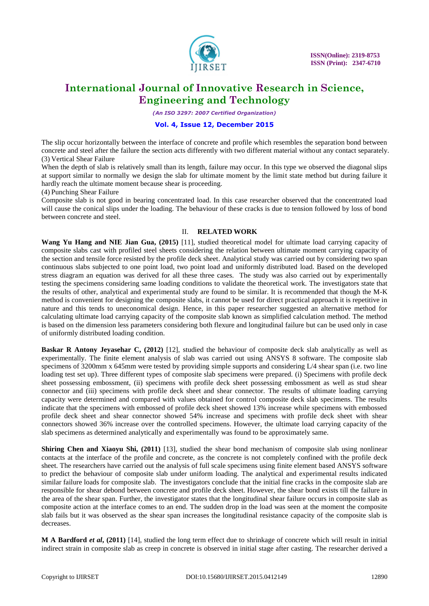

*(An ISO 3297: 2007 Certified Organization)*

#### **Vol. 4, Issue 12, December 2015**

The slip occur horizontally between the interface of concrete and profile which resembles the separation bond between concrete and steel after the failure the section acts differently with two different material without any contact separately. (3) Vertical Shear Failure

When the depth of slab is relatively small than its length, failure may occur. In this type we observed the diagonal slips at support similar to normally we design the slab for ultimate moment by the limit state method but during failure it hardly reach the ultimate moment because shear is proceeding.

(4) Punching Shear Failure

Composite slab is not good in bearing concentrated load. In this case researcher observed that the concentrated load will cause the conical slips under the loading. The behaviour of these cracks is due to tension followed by loss of bond between concrete and steel.

#### II. **RELATED WORK**

**Wang Yu Hang and NIE Jian Gua, (2015)** [11], studied theoretical model for ultimate load carrying capacity of composite slabs cast with profiled steel sheets considering the relation between ultimate moment carrying capacity of the section and tensile force resisted by the profile deck sheet. Analytical study was carried out by considering two span continuous slabs subjected to one point load, two point load and uniformly distributed load. Based on the developed stress diagram an equation was derived for all these three cases. The study was also carried out by experimentally testing the specimens considering same loading conditions to validate the theoretical work. The investigators state that the results of other, analytical and experimental study are found to be similar. It is recommended that though the M-K method is convenient for designing the composite slabs, it cannot be used for direct practical approach it is repetitive in nature and this tends to uneconomical design. Hence, in this paper researcher suggested an alternative method for calculating ultimate load carrying capacity of the composite slab known as simplified calculation method. The method is based on the dimension less parameters considering both flexure and longitudinal failure but can be used only in case of uniformly distributed loading condition.

**Baskar R Antony Jeyasehar C, (2012)** [12], studied the behaviour of composite deck slab analytically as well as experimentally. The finite element analysis of slab was carried out using ANSYS 8 software. The composite slab specimens of 3200mm x 645mm were tested by providing simple supports and considering L/4 shear span (i.e. two line loading test set up). Three different types of composite slab specimens were prepared. (i) Specimens with profile deck sheet possessing embossment, (ii) specimens with profile deck sheet possessing embossment as well as stud shear connector and (iii) specimens with profile deck sheet and shear connector. The results of ultimate loading carrying capacity were determined and compared with values obtained for control composite deck slab specimens. The results indicate that the specimens with embossed of profile deck sheet showed 13% increase while specimens with embossed profile deck sheet and shear connector showed 54% increase and specimens with profile deck sheet with shear connectors showed 36% increase over the controlled specimens. However, the ultimate load carrying capacity of the slab specimens as determined analytically and experimentally was found to be approximately same.

**Shiring Chen and Xiaoyu Shi, (2011)** [13], studied the shear bond mechanism of composite slab using nonlinear contacts at the interface of the profile and concrete, as the concrete is not completely confined with the profile deck sheet. The researchers have carried out the analysis of full scale specimens using finite element based ANSYS software to predict the behaviour of composite slab under uniform loading. The analytical and experimental results indicated similar failure loads for composite slab. The investigators conclude that the initial fine cracks in the composite slab are responsible for shear debond between concrete and profile deck sheet. However, the shear bond exists till the failure in the area of the shear span. Further, the investigator states that the longitudinal shear failure occurs in composite slab as composite action at the interface comes to an end. The sudden drop in the load was seen at the moment the composite slab fails but it was observed as the shear span increases the longitudinal resistance capacity of the composite slab is decreases.

**M A Bardford** *et al***, (2011)** [14], studied the long term effect due to shrinkage of concrete which will result in initial indirect strain in composite slab as creep in concrete is observed in initial stage after casting. The researcher derived a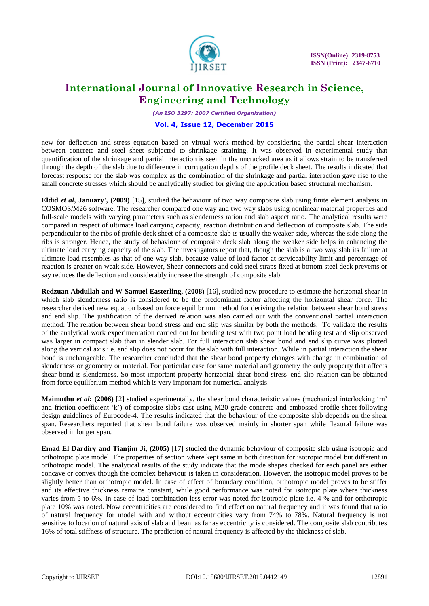

*(An ISO 3297: 2007 Certified Organization)*

#### **Vol. 4, Issue 12, December 2015**

new for deflection and stress equation based on virtual work method by considering the partial shear interaction between concrete and steel sheet subjected to shrinkage straining. It was observed in experimental study that quantification of the shrinkage and partial interaction is seen in the uncracked area as it allows strain to be transferred through the depth of the slab due to difference in corrugation depths of the profile deck sheet. The results indicated that forecast response for the slab was complex as the combination of the shrinkage and partial interaction gave rise to the small concrete stresses which should be analytically studied for giving the application based structural mechanism.

**Eldid** *et al***, January', (2009)** [15], studied the behaviour of two way composite slab using finite element analysis in COSMOS/M26 software. The researcher compared one way and two way slabs using nonlinear material properties and full-scale models with varying parameters such as slenderness ration and slab aspect ratio. The analytical results were compared in respect of ultimate load carrying capacity, reaction distribution and deflection of composite slab. The side perpendicular to the ribs of profile deck sheet of a composite slab is usually the weaker side, whereas the side along the ribs is stronger. Hence, the study of behaviour of composite deck slab along the weaker side helps in enhancing the ultimate load carrying capacity of the slab. The investigators report that, though the slab is a two way slab its failure at ultimate load resembles as that of one way slab, because value of load factor at serviceability limit and percentage of reaction is greater on weak side. However, Shear connectors and cold steel straps fixed at bottom steel deck prevents or say reduces the deflection and considerably increase the strength of composite slab.

**Redzuan Abdullah and W Samuel Easterling, (2008)** [16], studied new procedure to estimate the horizontal shear in which slab slenderness ratio is considered to be the predominant factor affecting the horizontal shear force. The researcher derived new equation based on force equilibrium method for deriving the relation between shear bond stress and end slip. The justification of the derived relation was also carried out with the conventional partial interaction method. The relation between shear bond stress and end slip was similar by both the methods. To validate the results of the analytical work experimentation carried out for bending test with two point load bending test and slip observed was larger in compact slab than in slender slab. For full interaction slab shear bond and end slip curve was plotted along the vertical axis i.e. end slip does not occur for the slab with full interaction. While in partial interaction the shear bond is unchangeable. The researcher concluded that the shear bond property changes with change in combination of slenderness or geometry or material. For particular case for same material and geometry the only property that affects shear bond is slenderness. So most important property horizontal shear bond stress–end slip relation can be obtained from force equilibrium method which is very important for numerical analysis.

**Maimuthu** *et al***;** (2006) [2] studied experimentally, the shear bond characteristic values (mechanical interlocking 'm' and friction coefficient 'k') of composite slabs cast using M20 grade concrete and embossed profile sheet following design guidelines of Eurocode-4. The results indicated that the behaviour of the composite slab depends on the shear span. Researchers reported that shear bond failure was observed mainly in shorter span while flexural failure was observed in longer span.

**Emad El Dardiry and Tianjim Ji, (2005)** [17] studied the dynamic behaviour of composite slab using isotropic and orthotropic plate model. The properties of section where kept same in both direction for isotropic model but different in orthotropic model. The analytical results of the study indicate that the mode shapes checked for each panel are either concave or convex though the complex behaviour is taken in consideration. However, the isotropic model proves to be slightly better than orthotropic model. In case of effect of boundary condition, orthotropic model proves to be stiffer and its effective thickness remains constant, while good performance was noted for isotropic plate where thickness varies from 5 to 6%. In case of load combination less error was noted for isotropic plate i.e. 4 % and for orthotropic plate 10% was noted. Now eccentricities are considered to find effect on natural frequency and it was found that ratio of natural frequency for model with and without eccentricities vary from 74% to 78%. Natural frequency is not sensitive to location of natural axis of slab and beam as far as eccentricity is considered. The composite slab contributes 16% of total stiffness of structure. The prediction of natural frequency is affected by the thickness of slab.